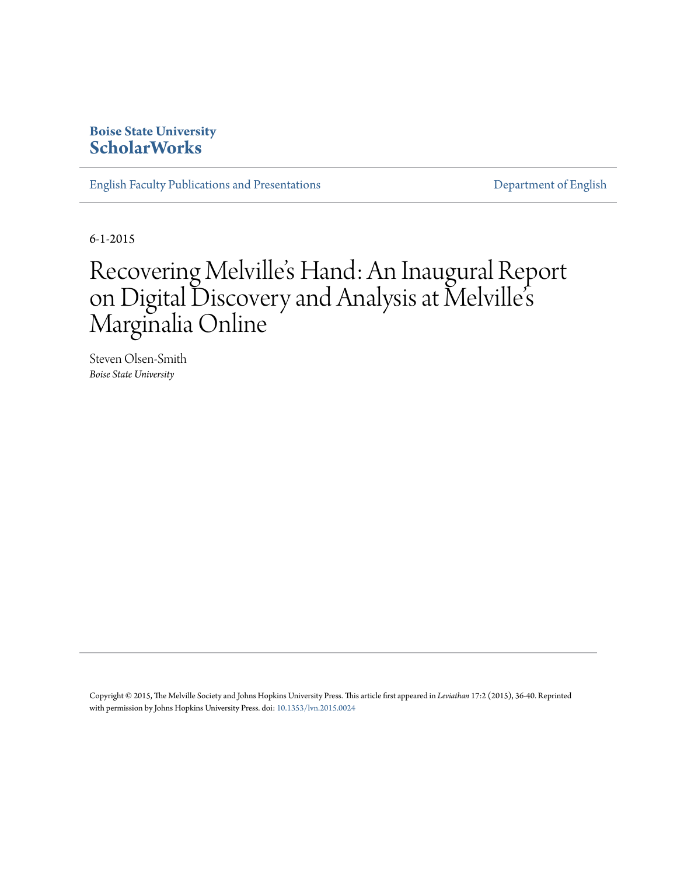## **Boise State University [ScholarWorks](https://scholarworks.boisestate.edu)**

[English Faculty Publications and Presentations](https://scholarworks.boisestate.edu/english_facpubs) **[Department of English](https://scholarworks.boisestate.edu/english)** 

6-1-2015

## Recovering Melville's Hand: An Inaugural Report on Digital Discovery and Analysis at Melville' s Marginalia Online

Steven Olsen-Smith *Boise State University*

Copyright © 2015, The Melville Society and Johns Hopkins University Press. This article first appeared in *Leviathan* 17:2 (2015), 36-40. Reprinted with permission by Johns Hopkins University Press. doi: [10.1353/lvn.2015.0024](http://dx.doi.org/10.1353/lvn.2015.0024)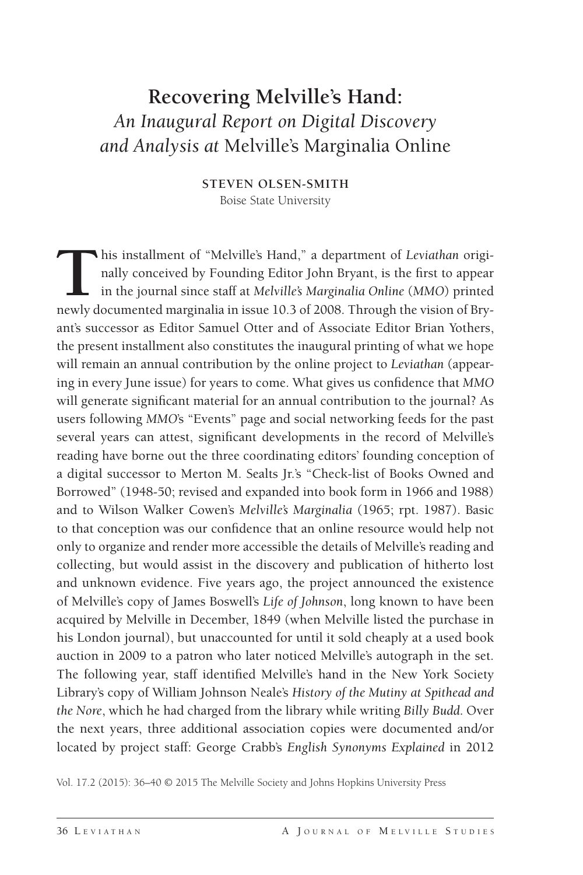## **Recovering Melville's Hand:** *An Inaugural Report on Digital Discovery and Analysis at* Melville's Marginalia Online

**STEVEN OLSEN-SMITH** Boise State University

**T**his installment of "Melville's Hand," a department of *Leviathan* originally conceived by Founding Editor John Bryant, is the first to appear in the journal since staff at *Melville's Marginalia Online* (*MMO*) printed newly documented marginalia in issue 10.3 of 2008. Through the vision of Bryant's successor as Editor Samuel Otter and of Associate Editor Brian Yothers, the present installment also constitutes the inaugural printing of what we hope will remain an annual contribution by the online project to *Leviathan* (appearing in every June issue) for years to come. What gives us confidence that *MMO* will generate significant material for an annual contribution to the journal? As users following *MMO*'s "Events" page and social networking feeds for the past several years can attest, significant developments in the record of Melville's reading have borne out the three coordinating editors' founding conception of a digital successor to Merton M. Sealts Jr.'s "Check-list of Books Owned and Borrowed" (1948-50; revised and expanded into book form in 1966 and 1988) and to Wilson Walker Cowen's *Melville's Marginalia* (1965; rpt. 1987). Basic to that conception was our confidence that an online resource would help not only to organize and render more accessible the details of Melville's reading and collecting, but would assist in the discovery and publication of hitherto lost and unknown evidence. Five years ago, the project announced the existence of Melville's copy of James Boswell's *Life of Johnson*, long known to have been acquired by Melville in December, 1849 (when Melville listed the purchase in his London journal), but unaccounted for until it sold cheaply at a used book auction in 2009 to a patron who later noticed Melville's autograph in the set. The following year, staff identified Melville's hand in the New York Society Library's copy of William Johnson Neale's *History of the Mutiny at Spithead and the Nore*, which he had charged from the library while writing *Billy Budd*. Over the next years, three additional association copies were documented and/or located by project staff: George Crabb's *English Synonyms Explained* in 2012

Vol. 17.2 (2015): 36–40 © 2015 The Melville Society and Johns Hopkins University Press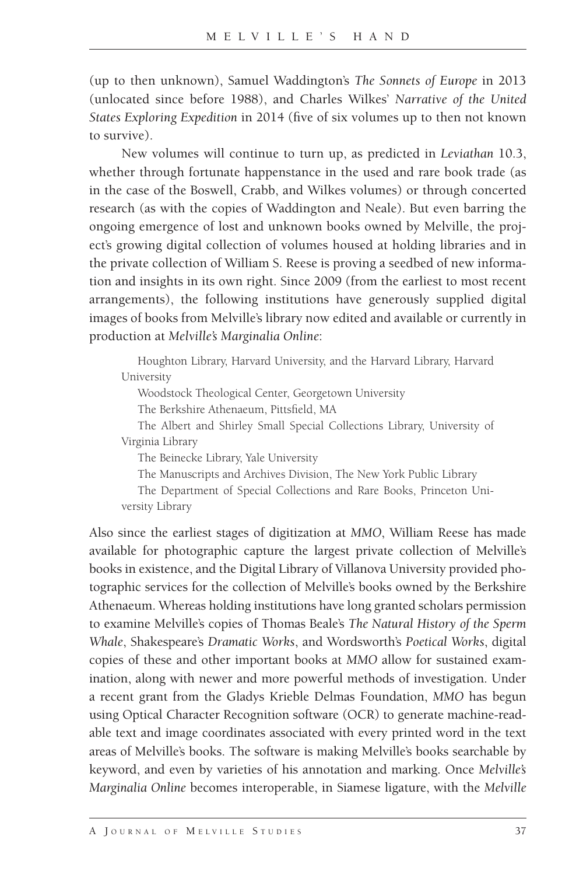(up to then unknown), Samuel Waddington's *The Sonnets of Europe* in 2013 (unlocated since before 1988), and Charles Wilkes' *Narrative of the United States Exploring Expedition* in 2014 (five of six volumes up to then not known to survive).

New volumes will continue to turn up, as predicted in *Leviathan* 10.3, whether through fortunate happenstance in the used and rare book trade (as in the case of the Boswell, Crabb, and Wilkes volumes) or through concerted research (as with the copies of Waddington and Neale). But even barring the ongoing emergence of lost and unknown books owned by Melville, the project's growing digital collection of volumes housed at holding libraries and in the private collection of William S. Reese is proving a seedbed of new information and insights in its own right. Since 2009 (from the earliest to most recent arrangements), the following institutions have generously supplied digital images of books from Melville's library now edited and available or currently in production at *Melville's Marginalia Online*:

Houghton Library, Harvard University, and the Harvard Library, Harvard University

Woodstock Theological Center, Georgetown University

The Berkshire Athenaeum, Pittsfield, MA

The Albert and Shirley Small Special Collections Library, University of Virginia Library

The Beinecke Library, Yale University

The Manuscripts and Archives Division, The New York Public Library

The Department of Special Collections and Rare Books, Princeton University Library

Also since the earliest stages of digitization at *MMO*, William Reese has made available for photographic capture the largest private collection of Melville's books in existence, and the Digital Library of Villanova University provided photographic services for the collection of Melville's books owned by the Berkshire Athenaeum. Whereas holding institutions have long granted scholars permission to examine Melville's copies of Thomas Beale's *The Natural History of the Sperm Whale*, Shakespeare's *Dramatic Works*, and Wordsworth's *Poetical Works*, digital copies of these and other important books at *MMO* allow for sustained examination, along with newer and more powerful methods of investigation. Under a recent grant from the Gladys Krieble Delmas Foundation, *MMO* has begun using Optical Character Recognition software (OCR) to generate machine-readable text and image coordinates associated with every printed word in the text areas of Melville's books. The software is making Melville's books searchable by keyword, and even by varieties of his annotation and marking. Once *Melville's Marginalia Online* becomes interoperable, in Siamese ligature, with the *Melville*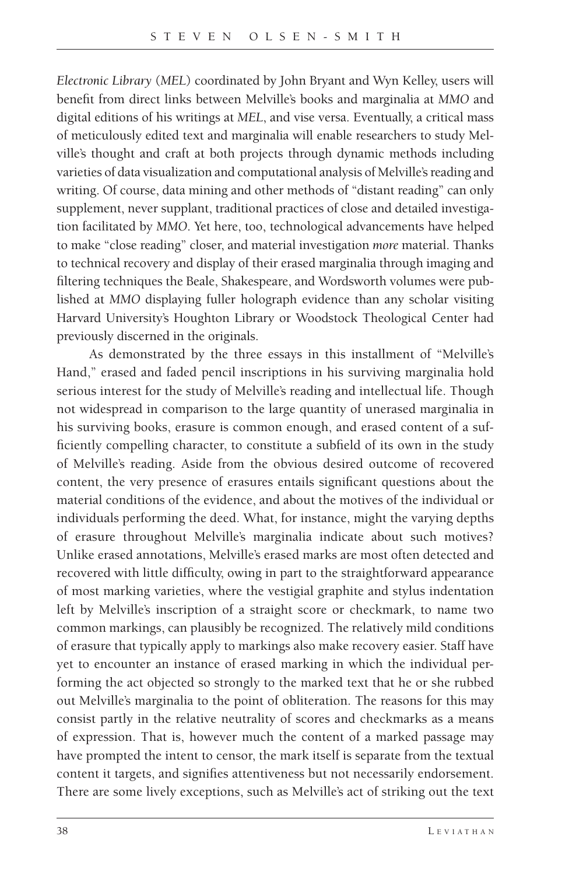*Electronic Library* (*MEL*) coordinated by John Bryant and Wyn Kelley, users will benefit from direct links between Melville's books and marginalia at MMO and digital editions of his writings at *MEL*, and vise versa. Eventually, a critical mass of meticulously edited text and marginalia will enable researchers to study Melville's thought and craft at both projects through dynamic methods including varieties of data visualization and computational analysis of Melville's reading and writing. Of course, data mining and other methods of "distant reading" can only supplement, never supplant, traditional practices of close and detailed investigation facilitated by *MMO*. Yet here, too, technological advancements have helped to make "close reading" closer, and material investigation *more* material. Thanks to technical recovery and display of their erased marginalia through imaging and filtering techniques the Beale, Shakespeare, and Wordsworth volumes were published at *MMO* displaying fuller holograph evidence than any scholar visiting Harvard University's Houghton Library or Woodstock Theological Center had previously discerned in the originals.

As demonstrated by the three essays in this installment of "Melville's Hand," erased and faded pencil inscriptions in his surviving marginalia hold serious interest for the study of Melville's reading and intellectual life. Though not widespread in comparison to the large quantity of unerased marginalia in his surviving books, erasure is common enough, and erased content of a sufficiently compelling character, to constitute a subfield of its own in the study of Melville's reading. Aside from the obvious desired outcome of recovered content, the very presence of erasures entails significant questions about the material conditions of the evidence, and about the motives of the individual or individuals performing the deed. What, for instance, might the varying depths of erasure throughout Melville's marginalia indicate about such motives? Unlike erased annotations, Melville's erased marks are most often detected and recovered with little difficulty, owing in part to the straightforward appearance of most marking varieties, where the vestigial graphite and stylus indentation left by Melville's inscription of a straight score or checkmark, to name two common markings, can plausibly be recognized. The relatively mild conditions of erasure that typically apply to markings also make recovery easier. Staff have yet to encounter an instance of erased marking in which the individual performing the act objected so strongly to the marked text that he or she rubbed out Melville's marginalia to the point of obliteration. The reasons for this may consist partly in the relative neutrality of scores and checkmarks as a means of expression. That is, however much the content of a marked passage may have prompted the intent to censor, the mark itself is separate from the textual content it targets, and signifies attentiveness but not necessarily endorsement. There are some lively exceptions, such as Melville's act of striking out the text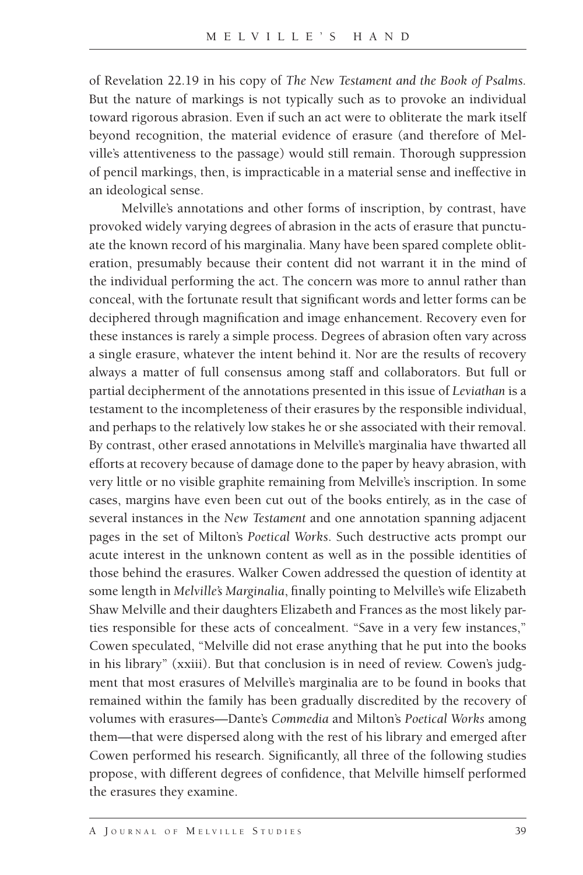of Revelation 22.19 in his copy of *The New Testament and the Book of Psalms.*  But the nature of markings is not typically such as to provoke an individual toward rigorous abrasion. Even if such an act were to obliterate the mark itself beyond recognition, the material evidence of erasure (and therefore of Melville's attentiveness to the passage) would still remain. Thorough suppression of pencil markings, then, is impracticable in a material sense and ineffective in an ideological sense.

Melville's annotations and other forms of inscription, by contrast, have provoked widely varying degrees of abrasion in the acts of erasure that punctuate the known record of his marginalia. Many have been spared complete obliteration, presumably because their content did not warrant it in the mind of the individual performing the act. The concern was more to annul rather than conceal, with the fortunate result that significant words and letter forms can be deciphered through magnification and image enhancement. Recovery even for these instances is rarely a simple process. Degrees of abrasion often vary across a single erasure, whatever the intent behind it. Nor are the results of recovery always a matter of full consensus among staff and collaborators. But full or partial decipherment of the annotations presented in this issue of *Leviathan* is a testament to the incompleteness of their erasures by the responsible individual, and perhaps to the relatively low stakes he or she associated with their removal. By contrast, other erased annotations in Melville's marginalia have thwarted all efforts at recovery because of damage done to the paper by heavy abrasion, with very little or no visible graphite remaining from Melville's inscription. In some cases, margins have even been cut out of the books entirely, as in the case of several instances in the *New Testament* and one annotation spanning adjacent pages in the set of Milton's *Poetical Works*. Such destructive acts prompt our acute interest in the unknown content as well as in the possible identities of those behind the erasures. Walker Cowen addressed the question of identity at some length in *Melville's Marginalia*, finally pointing to Melville's wife Elizabeth Shaw Melville and their daughters Elizabeth and Frances as the most likely parties responsible for these acts of concealment. "Save in a very few instances," Cowen speculated, "Melville did not erase anything that he put into the books in his library" (xxiii). But that conclusion is in need of review. Cowen's judgment that most erasures of Melville's marginalia are to be found in books that remained within the family has been gradually discredited by the recovery of volumes with erasures—Dante's *Commedia* and Milton's *Poetical Works* among them—that were dispersed along with the rest of his library and emerged after Cowen performed his research. Significantly, all three of the following studies propose, with different degrees of confidence, that Melville himself performed the erasures they examine.